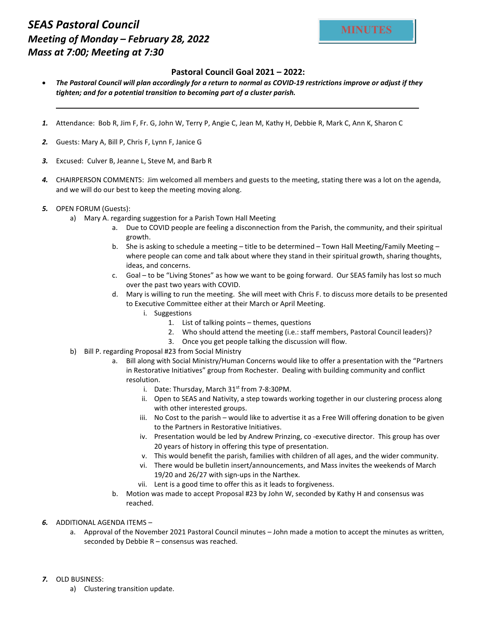## SEAS Pastoral Council Meeting of Monday – February 28, 2022 Mass at 7:00; Meeting at 7:30

## Pastoral Council Goal 2021 – 2022:

- The Pastoral Council will plan accordingly for a return to normal as COVID-19 restrictions improve or adjust if they tighten; and for a potential transition to becoming part of a cluster parish.
- 1. Attendance: Bob R, Jim F, Fr. G, John W, Terry P, Angie C, Jean M, Kathy H, Debbie R, Mark C, Ann K, Sharon C
- 2. Guests: Mary A, Bill P, Chris F, Lynn F, Janice G
- 3. Excused: Culver B, Jeanne L, Steve M, and Barb R
- 4. CHAIRPERSON COMMENTS: Jim welcomed all members and guests to the meeting, stating there was a lot on the agenda, and we will do our best to keep the meeting moving along.
- 5. OPEN FORUM (Guests):
	- a) Mary A. regarding suggestion for a Parish Town Hall Meeting
		- a. Due to COVID people are feeling a disconnection from the Parish, the community, and their spiritual growth.
		- b. She is asking to schedule a meeting title to be determined Town Hall Meeting/Family Meeting where people can come and talk about where they stand in their spiritual growth, sharing thoughts, ideas, and concerns.
		- c. Goal to be "Living Stones" as how we want to be going forward. Our SEAS family has lost so much over the past two years with COVID.
		- d. Mary is willing to run the meeting. She will meet with Chris F. to discuss more details to be presented to Executive Committee either at their March or April Meeting.
			- i. Suggestions
				- 1. List of talking points themes, questions
				- 2. Who should attend the meeting (i.e.: staff members, Pastoral Council leaders)?
				- 3. Once you get people talking the discussion will flow.
	- b) Bill P. regarding Proposal #23 from Social Ministry
		- a. Bill along with Social Ministry/Human Concerns would like to offer a presentation with the "Partners in Restorative Initiatives" group from Rochester. Dealing with building community and conflict resolution.
			- i. Date: Thursday, March  $31<sup>st</sup>$  from 7-8:30PM.
			- ii. Open to SEAS and Nativity, a step towards working together in our clustering process along with other interested groups.
			- iii. No Cost to the parish would like to advertise it as a Free Will offering donation to be given to the Partners in Restorative Initiatives.
			- iv. Presentation would be led by Andrew Prinzing, co -executive director. This group has over 20 years of history in offering this type of presentation.
			- v. This would benefit the parish, families with children of all ages, and the wider community.
			- vi. There would be bulletin insert/announcements, and Mass invites the weekends of March 19/20 and 26/27 with sign-ups in the Narthex.
			- vii. Lent is a good time to offer this as it leads to forgiveness.
		- b. Motion was made to accept Proposal #23 by John W, seconded by Kathy H and consensus was reached.
- 6. ADDITIONAL AGENDA ITEMS
	- a. Approval of the November 2021 Pastoral Council minutes John made a motion to accept the minutes as written, seconded by Debbie R – consensus was reached.
- 7. OLD BUSINESS:
	- a) Clustering transition update.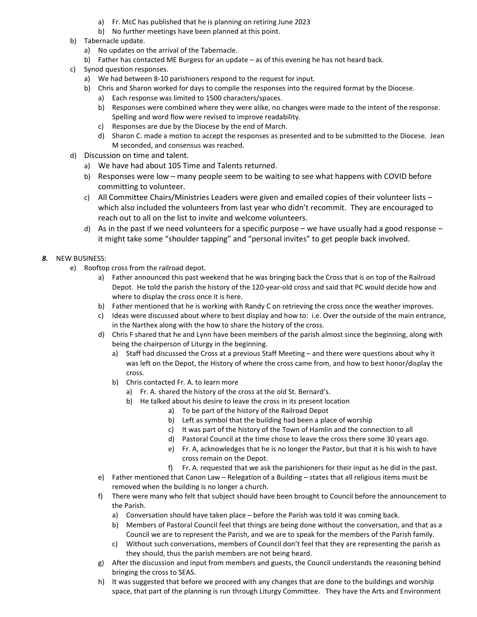- a) Fr. McC has published that he is planning on retiring June 2023
- b) No further meetings have been planned at this point.
- b) Tabernacle update.
	- a) No updates on the arrival of the Tabernacle.
	- b) Father has contacted ME Burgess for an update as of this evening he has not heard back.
- c) Synod question responses.
	- a) We had between 8-10 parishioners respond to the request for input.
	- b) Chris and Sharon worked for days to compile the responses into the required format by the Diocese.
		- a) Each response was limited to 1500 characters/spaces.
		- b) Responses were combined where they were alike, no changes were made to the intent of the response. Spelling and word flow were revised to improve readability.
		- c) Responses are due by the Diocese by the end of March.
		- d) Sharon C. made a motion to accept the responses as presented and to be submitted to the Diocese. Jean M seconded, and consensus was reached.
- d) Discussion on time and talent.
	- a) We have had about 105 Time and Talents returned.
	- b) Responses were low many people seem to be waiting to see what happens with COVID before committing to volunteer.
	- c) All Committee Chairs/Ministries Leaders were given and emailed copies of their volunteer lists which also included the volunteers from last year who didn't recommit. They are encouraged to reach out to all on the list to invite and welcome volunteers.
	- d) As in the past if we need volunteers for a specific purpose we have usually had a good response it might take some "shoulder tapping" and "personal invites" to get people back involved.

## 8. NEW BUSINESS:

- e) Rooftop cross from the railroad depot.
	- a) Father announced this past weekend that he was bringing back the Cross that is on top of the Railroad Depot. He told the parish the history of the 120-year-old cross and said that PC would decide how and where to display the cross once it is here.
	- b) Father mentioned that he is working with Randy C on retrieving the cross once the weather improves.
	- c) Ideas were discussed about where to best display and how to: i.e. Over the outside of the main entrance, in the Narthex along with the how to share the history of the cross.
	- d) Chris F shared that he and Lynn have been members of the parish almost since the beginning, along with being the chairperson of Liturgy in the beginning.
		- a) Staff had discussed the Cross at a previous Staff Meeting and there were questions about why it was left on the Depot, the History of where the cross came from, and how to best honor/display the cross.
		- b) Chris contacted Fr. A. to learn more
			- a) Fr. A. shared the history of the cross at the old St. Bernard's.
			- b) He talked about his desire to leave the cross in its present location
				- a) To be part of the history of the Railroad Depot
				- b) Left as symbol that the building had been a place of worship
				- c) It was part of the history of the Town of Hamlin and the connection to all
				- d) Pastoral Council at the time chose to leave the cross there some 30 years ago.
				- e) Fr. A, acknowledges that he is no longer the Pastor, but that it is his wish to have cross remain on the Depot.
				- f) Fr. A. requested that we ask the parishioners for their input as he did in the past.
	- e) Father mentioned that Canon Law Relegation of a Building states that all religious items must be removed when the building is no longer a church.
	- f) There were many who felt that subject should have been brought to Council before the announcement to the Parish.
		- a) Conversation should have taken place before the Parish was told it was coming back.
		- b) Members of Pastoral Council feel that things are being done without the conversation, and that as a Council we are to represent the Parish, and we are to speak for the members of the Parish family.
		- c) Without such conversations, members of Council don't feel that they are representing the parish as they should, thus the parish members are not being heard.
	- g) After the discussion and input from members and guests, the Council understands the reasoning behind bringing the cross to SEAS.
	- h) It was suggested that before we proceed with any changes that are done to the buildings and worship space, that part of the planning is run through Liturgy Committee. They have the Arts and Environment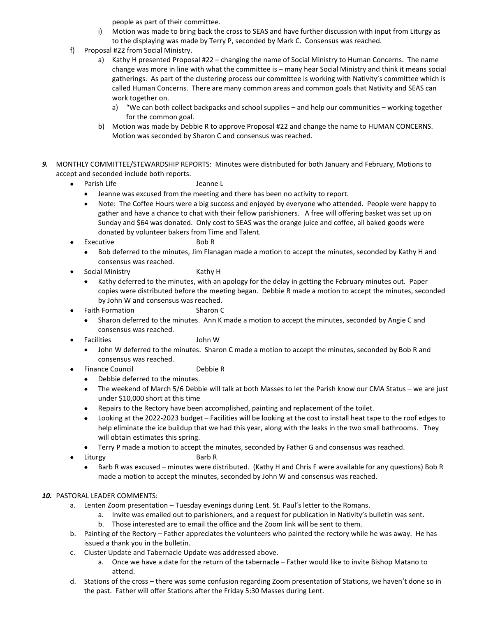people as part of their committee.

- i) Motion was made to bring back the cross to SEAS and have further discussion with input from Liturgy as to the displaying was made by Terry P, seconded by Mark C. Consensus was reached.
- f) Proposal #22 from Social Ministry.
	- a) Kathy H presented Proposal #22 changing the name of Social Ministry to Human Concerns. The name change was more in line with what the committee is – many hear Social Ministry and think it means social gatherings. As part of the clustering process our committee is working with Nativity's committee which is called Human Concerns. There are many common areas and common goals that Nativity and SEAS can work together on.
		- a) "We can both collect backpacks and school supplies and help our communities working together for the common goal.
	- b) Motion was made by Debbie R to approve Proposal #22 and change the name to HUMAN CONCERNS. Motion was seconded by Sharon C and consensus was reached.
- 9. MONTHLY COMMITTEE/STEWARDSHIP REPORTS: Minutes were distributed for both January and February, Motions to accept and seconded include both reports.
	- Parish Life Jeanne L
		- Jeanne was excused from the meeting and there has been no activity to report.
		- Note: The Coffee Hours were a big success and enjoyed by everyone who attended. People were happy to gather and have a chance to chat with their fellow parishioners. A free will offering basket was set up on Sunday and \$64 was donated. Only cost to SEAS was the orange juice and coffee, all baked goods were donated by volunteer bakers from Time and Talent.
	- Executive Bob R
		- Bob deferred to the minutes, Jim Flanagan made a motion to accept the minutes, seconded by Kathy H and consensus was reached.
	- Social Ministry **Kathy H** 
		- Kathy deferred to the minutes, with an apology for the delay in getting the February minutes out. Paper copies were distributed before the meeting began. Debbie R made a motion to accept the minutes, seconded by John W and consensus was reached.
	- Faith Formation Sharon C
		- Sharon deferred to the minutes. Ann K made a motion to accept the minutes, seconded by Angie C and consensus was reached.
	- Facilities John W
		- John W deferred to the minutes. Sharon C made a motion to accept the minutes, seconded by Bob R and consensus was reached.
	- Finance Council **Debbie R** 
		- Debbie deferred to the minutes.
		- The weekend of March 5/6 Debbie will talk at both Masses to let the Parish know our CMA Status we are just under \$10,000 short at this time
		- Repairs to the Rectory have been accomplished, painting and replacement of the toilet.
		- Looking at the 2022-2023 budget Facilities will be looking at the cost to install heat tape to the roof edges to help eliminate the ice buildup that we had this year, along with the leaks in the two small bathrooms. They will obtain estimates this spring.
		- Terry P made a motion to accept the minutes, seconded by Father G and consensus was reached.
		- Liturgy Barb R
			- Barb R was excused minutes were distributed. (Kathy H and Chris F were available for any questions) Bob R made a motion to accept the minutes, seconded by John W and consensus was reached.

## 10. PASTORAL LEADER COMMENTS:

- a. Lenten Zoom presentation Tuesday evenings during Lent. St. Paul's letter to the Romans.
	- a. Invite was emailed out to parishioners, and a request for publication in Nativity's bulletin was sent.
	- b. Those interested are to email the office and the Zoom link will be sent to them.
- b. Painting of the Rectory Father appreciates the volunteers who painted the rectory while he was away. He has issued a thank you in the bulletin.
- c. Cluster Update and Tabernacle Update was addressed above.
	- a. Once we have a date for the return of the tabernacle Father would like to invite Bishop Matano to attend.
- d. Stations of the cross there was some confusion regarding Zoom presentation of Stations, we haven't done so in the past. Father will offer Stations after the Friday 5:30 Masses during Lent.